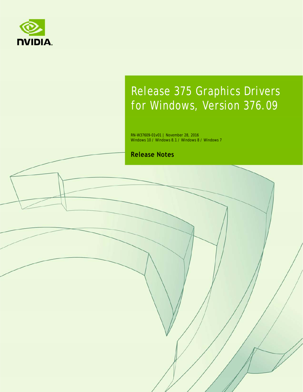

# Release 375 Graphics Drivers for Windows, Version 376.09

RN-W37609-01v01 | November 28, 2016 Windows 10 / Windows 8.1 / Windows 8 / Windows 7

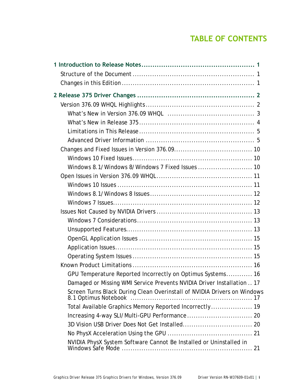## **TABLE OF CONTENTS**

| GPU Temperature Reported Incorrectly on Optimus Systems 16               |
|--------------------------------------------------------------------------|
| Damaged or Missing WMI Service Prevents NVIDIA Driver Installation  17   |
| Screen Turns Black During Clean Overinstall of NVIDIA Drivers on Windows |
| Total Available Graphics Memory Reported Incorrectly 19                  |
|                                                                          |
|                                                                          |
|                                                                          |
| NVIDIA PhysX System Software Cannot Be Installed or Uninstalled in       |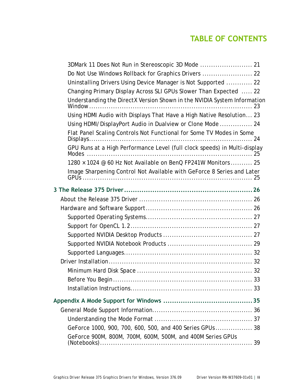## **TABLE OF CONTENTS**

| Do Not Use Windows Rollback for Graphics Drivers  22                                |
|-------------------------------------------------------------------------------------|
| Uninstalling Drivers Using Device Manager is Not Supported  22                      |
| Changing Primary Display Across SLI GPUs Slower Than Expected  22                   |
| Understanding the DirectX Version Shown in the NVIDIA System Information            |
| Using HDMI Audio with Displays That Have a High Native Resolution 23                |
| Using HDMI/DisplayPort Audio in Dualview or Clone Mode  24                          |
| Flat Panel Scaling Controls Not Functional for Some TV Modes in Some                |
| GPU Runs at a High Performance Level (full clock speeds) in Multi-display           |
| 1280 × 1024 @ 60 Hz Not Available on BenQ FP241W Monitors  25                       |
| Image Sharpening Control Not Available with GeForce 8 Series and Later              |
|                                                                                     |
|                                                                                     |
|                                                                                     |
|                                                                                     |
|                                                                                     |
|                                                                                     |
|                                                                                     |
|                                                                                     |
|                                                                                     |
|                                                                                     |
|                                                                                     |
|                                                                                     |
|                                                                                     |
|                                                                                     |
|                                                                                     |
| GeForce 1000, 900, 700, 600, 500, and 400 Series GPUs  38                           |
| GeForce 900M, 800M, 700M, 600M, 500M, and 400M Series GPUs<br>$(Notes. ) \ldots 39$ |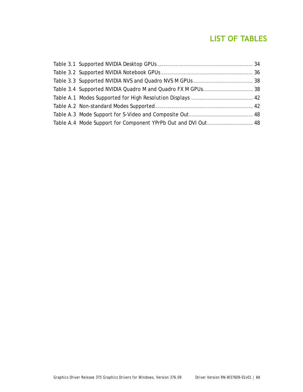### **LIST OF TABLES**

| Table 3.3 Supported NVIDIA NVS and Quadro NVS M GPUs  38      |  |
|---------------------------------------------------------------|--|
| Table 3.4 Supported NVIDIA Quadro M and Quadro FX M GPUs 38   |  |
|                                                               |  |
|                                                               |  |
|                                                               |  |
| Table A.4 Mode Support for Component YPrPb Out and DVI Out 48 |  |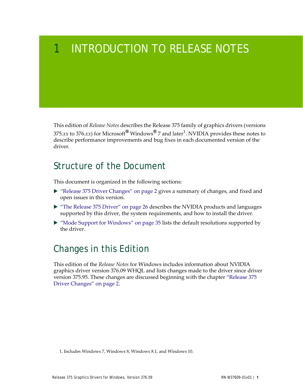# <span id="page-4-0"></span>1 INTRODUCTION TO RELEASE NOTES

This edition of *Release Notes* describes the Release 375 family of graphics drivers (versions 375.*xx* to 376.*xx*) for Microsoft**®** Windows**®** 7 and later<sup>1</sup> . NVIDIA provides these notes to describe performance improvements and bug fixes in each documented version of the driver.

## <span id="page-4-1"></span>Structure of the Document

This document is organized in the following sections:

- ["Release 375 Driver Changes" on page](#page-5-2) 2 gives a summary of changes, and fixed and open issues in this version.
- ["The Release 375 Driver" on page](#page-29-3) 26 describes the NVIDIA products and languages supported by this driver, the system requirements, and how to install the driver.
- ["Mode Support for Windows" on page](#page-38-1) 35 lists the default resolutions supported by the driver.

# <span id="page-4-2"></span>Changes in this Edition

This edition of the *Release Notes* for Windows includes information about NVIDIA graphics driver version 376.09 WHQL and lists changes made to the driver since driver version 375.95. These changes are discussed beginning with the chapter ["Release 375](#page-5-2)  [Driver Changes" on page](#page-5-2) 2.

<sup>1.</sup> Includes Windows 7, Windows 8, Windows 8.1, and Windows 10.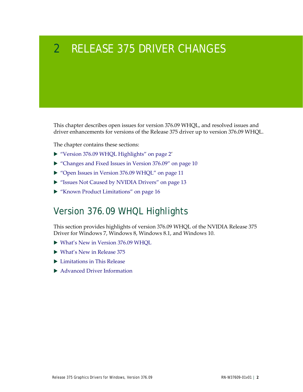# <span id="page-5-2"></span><span id="page-5-0"></span>2 RELEASE 375 DRIVER CHANGES

This chapter describes open issues for version 376.09 WHQL, and resolved issues and driver enhancements for versions of the Release 375 driver up to version 376.09 WHQL.

The chapter contains these sections:

- ▶ ["Version 376.09 WHQL Highlights" on page](#page-5-1) 2'
- ["Changes and Fixed Issues in Version 376.09" on page](#page-13-3) 10
- ▶ ["Open Issues in Version 376.09 WHQL" on page](#page-14-2) 11
- ["Issues Not Caused by NVIDIA Drivers" on page](#page-16-3) 13
- ["Known Product Limitations" on page](#page-19-2) 16

## <span id="page-5-1"></span>Version 376.09 WHQL Highlights

This section provides highlights of version 376.09 WHQL of the NVIDIA Release 375 Driver for Windows 7, Windows 8, Windows 8.1, and Windows 10.

- [What's New in Version 376.09 WHQL](#page-6-0)
- [What's New in Release 375](#page-7-0)
- **[Limitations in This Release](#page-8-0)**
- ▶ [Advanced Driver Information](#page-8-1)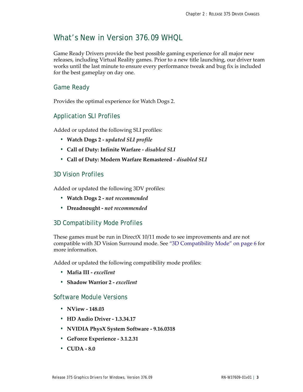### <span id="page-6-0"></span>What's New in Version 376.09 WHQL

Game Ready Drivers provide the best possible gaming experience for all major new releases, including Virtual Reality games. Prior to a new title launching, our driver team works until the last minute to ensure every performance tweak and bug fix is included for the best gameplay on day one.

### Game Ready

Provides the optimal experience for Watch Dogs 2.

#### Application SLI Profiles

Added or updated the following SLI profiles:

- **Watch Dogs 2** *updated SLI profile*
- **Call of Duty: Infinite Warfare** *disabled SLI*
- **Call of Duty: Modern Warfare Remastered** *disabled SLI*

#### 3D Vision Profiles

Added or updated the following 3DV profiles:

- **Watch Dogs 2** *not recommended*
- **Dreadnought** *not recommended*

### 3D Compatibility Mode Profiles

These games must be run in DirectX 10/11 mode to see improvements and are not compatible with 3D Vision Surround mode. See ["3D Compatibility Mode" on page](#page-9-0) 6 for more information.

Added or updated the following compatibility mode profiles:

- **Mafia III** *excellent*
- **Shadow Warrior 2** *excellent*

#### Software Module Versions

- **NView 148.03**
- **HD Audio Driver 1.3.34.17**
- **NVIDIA PhysX System Software 9.16.0318**
- **GeForce Experience 3.1.2.31**
- **CUDA 8.0**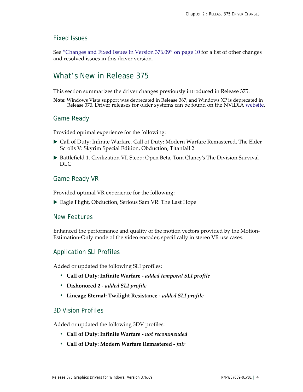#### Fixed Issues

See ["Changes and Fixed Issues in Version 376.09" on page](#page-13-3) 10 for a list of other changes and resolved issues in this driver version.

### <span id="page-7-0"></span>What's New in Release 375

This section summarizes the driver changes previously introduced in Release 375.

**Note:** Windows Vista support was deprecated in Release 367, and Windows XP is deprecated in Release 370. Driver releases for older systems can be found on the NVIDI[A website](http://www.geforce.com/drivers).

#### Game Ready

Provided optimal experience for the following:

- Call of Duty: Infinite Warfare, Call of Duty: Modern Warfare Remastered, The Elder Scrolls V: Skyrim Special Edition, Obduction, Titanfall 2
- ▶ Battlefield 1, Civilization VI, Steep: Open Beta, Tom Clancy's The Division Survival DLC

#### Game Ready VR

Provided optimal VR experience for the following:

▶ Eagle Flight, Obduction, Serious Sam VR: The Last Hope

#### New Features

Enhanced the performance and quality of the motion vectors provided by the Motion-Estimation-Only mode of the video encoder, specifically in stereo VR use cases.

#### Application SLI Profiles

Added or updated the following SLI profiles:

- **Call of Duty: Infinite Warfare** *added temporal SLI profile*
- **Dishonored 2** *added SLI profile*
- **Lineage Eternal: Twilight Resistance** *added SLI profile*

#### 3D Vision Profiles

Added or updated the following 3DV profiles:

- **Call of Duty: Infinite Warfare** *not recommended*
- **Call of Duty: Modern Warfare Remastered** *fair*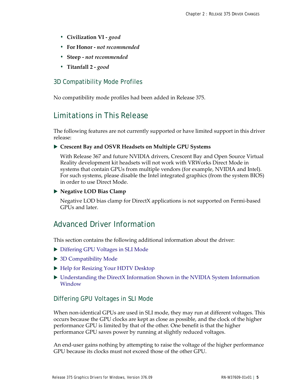- **Civilization VI** *good*
- **For Honor** *not recommended*
- **Steep** *not recommended*
- **Titanfall 2** *good*

#### 3D Compatibility Mode Profiles

No compatibility mode profiles had been added in Release 375.

### <span id="page-8-0"></span>Limitations in This Release

The following features are not currently supported or have limited support in this driver release:

#### **Crescent Bay and OSVR Headsets on Multiple GPU Systems**

With Release 367 and future NVIDIA drivers, Crescent Bay and Open Source Virtual Reality development kit headsets will not work with VRWorks Direct Mode in systems that contain GPUs from multiple vendors (for example, NVIDIA and Intel). For such systems, please disable the Intel integrated graphics (from the system BIOS) in order to use Direct Mode.

#### **Negative LOD Bias Clamp**

Negative LOD bias clamp for DirectX applications is not supported on Fermi-based GPUs and later.

### <span id="page-8-1"></span>Advanced Driver Information

This section contains the following additional information about the driver:

- ▶ [Differing GPU Voltages in SLI Mode](#page-8-2)
- ▶ [3D Compatibility Mode](#page-9-0)
- ▶ [Help for Resizing Your HDTV Desktop](#page-10-0)
- [Understanding the DirectX Information Shown in the NVIDIA System Information](#page-11-0)  [Window](#page-11-0)

#### <span id="page-8-2"></span>Differing GPU Voltages in SLI Mode

When non-identical GPUs are used in SLI mode, they may run at different voltages. This occurs because the GPU clocks are kept as close as possible, and the clock of the higher performance GPU is limited by that of the other. One benefit is that the higher performance GPU saves power by running at slightly reduced voltages.

An end-user gains nothing by attempting to raise the voltage of the higher performance GPU because its clocks must not exceed those of the other GPU.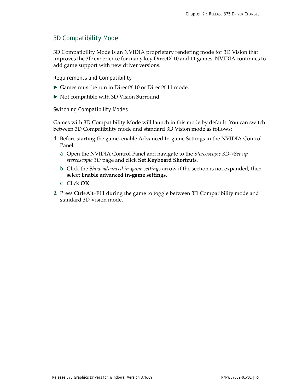#### <span id="page-9-0"></span>3D Compatibility Mode

3D Compatibility Mode is an NVIDIA proprietary rendering mode for 3D Vision that improves the 3D experience for many key DirectX 10 and 11 games. NVIDIA continues to add game support with new driver versions.

Requirements and Compatibility

- Games must be run in DirectX 10 or DirectX 11 mode.
- $\triangleright$  Not compatible with 3D Vision Surround.

Switching Compatibility Modes

Games with 3D Compatibility Mode will launch in this mode by default. You can switch between 3D Compatibility mode and standard 3D Vision mode as follows:

- **1** Before starting the game, enable Advanced In-game Settings in the NVIDIA Control Panel:
	- a Open the NVIDIA Control Panel and navigate to the *Stereoscopic 3D->Set up stereoscopic 3D* page and click **Set Keyboard Shortcuts**.
	- b Click the S*how advanced in-game settings* arrow if the section is not expanded, then select **Enable advanced in-game settings.**
	- c Click **OK**.
- **2** Press Ctrl+Alt+F11 during the game to toggle between 3D Compatibility mode and standard 3D Vision mode.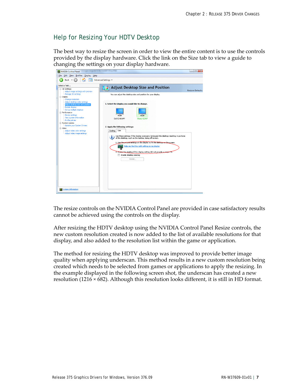### <span id="page-10-0"></span>Help for Resizing Your HDTV Desktop

The best way to resize the screen in order to view the entire content is to use the controls provided by the display hardware. Click the link on the Size tab to view a guide to changing the settings on your display hardware.

| Edit View Profiles Display Help<br><b>File</b><br>Ð<br>Back -<br>Advanced Settings<br>m<br>Select a Task<br>Adjust Desktop Size and Position<br><b>B</b> 3D Settings<br>Adjust image settings with preview<br>Manage 3D settings<br>You can adjust the desktop size and position for your display.<br><b>Display</b><br>-Change resolution<br>-Adjust desktop color settings<br>1. Select the display you would like to change.<br>Adjust desktop size and position<br>Rotate display<br>Set up multiple displays<br><b>Performance</b><br>Device settings<br>-View system information<br>Dell E248WFP<br>Sharp E2347<br>-Profile policies<br>System Update<br>L.Update your System Drivers<br>2. Apply the following settings:<br>- Video<br>Size<br>Adjust video color settings<br>Scaling<br>-Adjust video image settings<br>Use these settings if the display overscans (enlarges) the desktop resulting in portions<br>i<br>of the desktop, such as the taskbar, being off-screen.<br>1. Use the picture settings on the display to fit the desktop on the screen.<br>Help me find the right setting on my display<br>2. Resize the desktop if the display setting did not provide a proper fit.<br>Enable desktop resizing<br>Resize | $\mathbf{x}$<br>$\Box$ $\Box$<br>NVIDIA Control Panel |  |                         |  |
|--------------------------------------------------------------------------------------------------------------------------------------------------------------------------------------------------------------------------------------------------------------------------------------------------------------------------------------------------------------------------------------------------------------------------------------------------------------------------------------------------------------------------------------------------------------------------------------------------------------------------------------------------------------------------------------------------------------------------------------------------------------------------------------------------------------------------------------------------------------------------------------------------------------------------------------------------------------------------------------------------------------------------------------------------------------------------------------------------------------------------------------------------------------------------------------------------------------------------------------------|-------------------------------------------------------|--|-------------------------|--|
|                                                                                                                                                                                                                                                                                                                                                                                                                                                                                                                                                                                                                                                                                                                                                                                                                                                                                                                                                                                                                                                                                                                                                                                                                                            |                                                       |  |                         |  |
|                                                                                                                                                                                                                                                                                                                                                                                                                                                                                                                                                                                                                                                                                                                                                                                                                                                                                                                                                                                                                                                                                                                                                                                                                                            |                                                       |  |                         |  |
|                                                                                                                                                                                                                                                                                                                                                                                                                                                                                                                                                                                                                                                                                                                                                                                                                                                                                                                                                                                                                                                                                                                                                                                                                                            |                                                       |  | <b>Restore Defaults</b> |  |
|                                                                                                                                                                                                                                                                                                                                                                                                                                                                                                                                                                                                                                                                                                                                                                                                                                                                                                                                                                                                                                                                                                                                                                                                                                            |                                                       |  |                         |  |
|                                                                                                                                                                                                                                                                                                                                                                                                                                                                                                                                                                                                                                                                                                                                                                                                                                                                                                                                                                                                                                                                                                                                                                                                                                            |                                                       |  |                         |  |
| System Information                                                                                                                                                                                                                                                                                                                                                                                                                                                                                                                                                                                                                                                                                                                                                                                                                                                                                                                                                                                                                                                                                                                                                                                                                         |                                                       |  |                         |  |

The resize controls on the NVIDIA Control Panel are provided in case satisfactory results cannot be achieved using the controls on the display.

After resizing the HDTV desktop using the NVIDIA Control Panel Resize controls, the new custom resolution created is now added to the list of available resolutions for that display, and also added to the resolution list within the game or application.

The method for resizing the HDTV desktop was improved to provide better image quality when applying underscan. This method results in a new custom resolution being created which needs to be selected from games or applications to apply the resizing. In the example displayed in the following screen shot, the underscan has created a new resolution (1216  $\times$  682). Although this resolution looks different, it is still in HD format.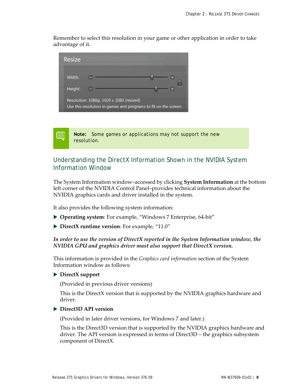Remember to select this resolution in your game or other application in order to take advantage of it.



**Note:** Some games or applications may not support the new resolution.

### <span id="page-11-0"></span>Understanding the DirectX Information Shown in the NVIDIA System Information Window

The System Information window–accessed by clicking **System Information** at the bottom left corner of the NVIDIA Control Panel–provides technical information about the NVIDIA graphics cards and driver installed in the system.

It also provides the following system information:

- **Operating system**: For example, "Windows 7 Enterprise, 64-bit"
- **DirectX runtime version**: For example, "11.0"

#### *In order to use the version of DirectX reported in the System Information window, the NVIDIA GPU and graphics driver must also support that DirectX version.*

This information is provided in the *Graphics card information* section of the System Information window as follows:

#### **DirectX support**

(Provided in previous driver versions)

This is the DirectX version that is supported by the NVIDIA graphics hardware and driver.

#### **Direct3D API version**

(Provided in later driver versions, for Windows 7 and later.)

This is the Direct3D version that is supported by the NVIDIA graphics hardware and driver. The API version is expressed in terms of Direct3D – the graphics subsystem component of DirectX.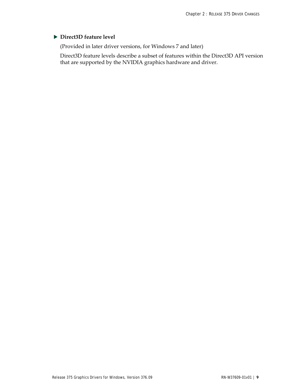#### **Direct3D feature level**

(Provided in later driver versions, for Windows 7 and later)

Direct3D feature levels describe a subset of features within the Direct3D API version that are supported by the NVIDIA graphics hardware and driver.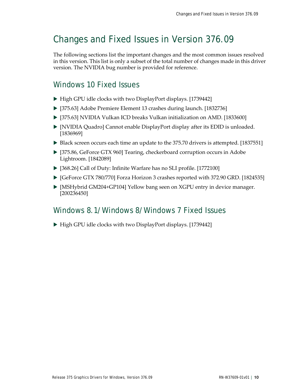## <span id="page-13-3"></span><span id="page-13-0"></span>Changes and Fixed Issues in Version 376.09

The following sections list the important changes and the most common issues resolved in this version. This list is only a subset of the total number of changes made in this driver version. The NVIDIA bug number is provided for reference.

### <span id="page-13-1"></span>Windows 10 Fixed Issues

- High GPU idle clocks with two DisplayPort displays. [1739442]
- [375.63] Adobe Premiere Element 13 crashes during launch. [1832736]
- ▶ [375.63] NVIDIA Vulkan ICD breaks Vulkan initialization on AMD. [1833600]
- [NVIDIA Quadro] Cannot enable DisplayPort display after its EDID is unloaded. [1836969]
- Black screen occurs each time an update to the 375.70 drivers is attempted. [1837551]
- [375.86, GeForce GTX 960] Tearing, checkerboard corruption occurs in Adobe Lightroom. [1842089]
- [368.26] Call of Duty: Infinite Warfare has no SLI profile. [1772100]
- [GeForce GTX 780/770] Forza Horizon 3 crashes reported with 372.90 GRD. [1824535]
- [MSHybrid GM204+GP104] Yellow bang seen on XGPU entry in device manager. [200236450]

### <span id="page-13-2"></span>Windows 8.1/Windows 8/Windows 7 Fixed Issues

▶ High GPU idle clocks with two DisplayPort displays. [1739442]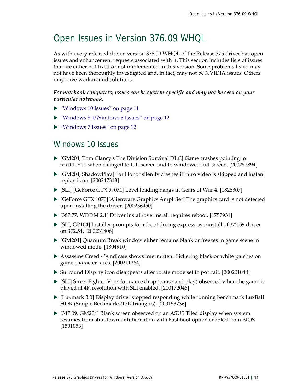# <span id="page-14-2"></span><span id="page-14-0"></span>Open Issues in Version 376.09 WHQL

As with every released driver, version 376.09 WHQL of the Release 375 driver has open issues and enhancement requests associated with it. This section includes lists of issues that are either not fixed or not implemented in this version. Some problems listed may not have been thoroughly investigated and, in fact, may not be NVIDIA issues. Others may have workaround solutions.

#### *For notebook computers, issues can be system-specific and may not be seen on your particular notebook.*

- ▶ ["Windows 10 Issues" on page](#page-14-1) 11
- ▶ ["Windows 8.1/Windows 8 Issues" on page](#page-15-0) 12
- ▶ ["Windows 7 Issues" on page](#page-15-1) 12

### <span id="page-14-1"></span>Windows 10 Issues

- [GM204, Tom Clancy's The Division Survival DLC] Game crashes pointing to ntdll.dll when changed to full-screen and to windowed full-screen. [200252894]
- $\triangleright$  [GM204, ShadowPlay] For Honor silently crashes if intro video is skipped and instant replay is on. [200247313]
- [SLI] [GeForce GTX 970M] Level loading hangs in Gears of War 4. [1826307]
- $\triangleright$  [GeForce GTX 1070][Alienware Graphics Amplifier] The graphics card is not detected upon installing the driver. [200236450]
- [367.77, WDDM 2.1] Driver install/overinstall requires reboot. [1757931]
- [SLI, GP104] Installer prompts for reboot during express overinstall of 372.69 driver on 372.54. [200231806]
- [GM204] Quantum Break window either remains blank or freezes in game scene in windowed mode. [1804910]
- Assassins Creed Syndicate shows intermittent flickering black or white patches on game character faces. [200211264]
- Surround Display icon disappears after rotate mode set to portrait. [200201040]
- $\triangleright$  [SLI] Street Fighter V performance drop (pause and play) observed when the game is played at 4K resolution with SLI enabled. [200172046]
- [Luxmark 3.0] Display driver stopped responding while running benchmark LuxBall HDR (Simple Bechmark:217K triangles). [200153736]
- [347.09, GM204] Blank screen observed on an ASUS Tiled display when system resumes from shutdown or hibernation with Fast boot option enabled from BIOS. [1591053]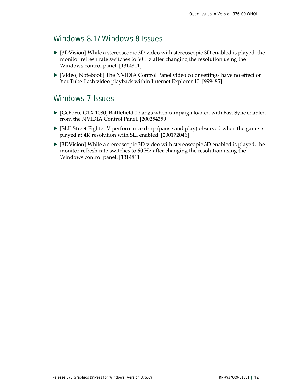### <span id="page-15-0"></span>Windows 8.1/Windows 8 Issues

- [3DVision] While a stereoscopic 3D video with stereoscopic 3D enabled is played, the monitor refresh rate switches to 60 Hz after changing the resolution using the Windows control panel. [1314811]
- [Video, Notebook] The NVIDIA Control Panel video color settings have no effect on YouTube flash video playback within Internet Explorer 10. [999485]

### <span id="page-15-1"></span>Windows 7 Issues

- $\triangleright$  [GeForce GTX 1080] Battlefield 1 hangs when campaign loaded with Fast Sync enabled from the NVIDIA Control Panel. [200254350]
- [SLI] Street Fighter V performance drop (pause and play) observed when the game is played at 4K resolution with SLI enabled. [200172046]
- [3DVision] While a stereoscopic 3D video with stereoscopic 3D enabled is played, the monitor refresh rate switches to 60 Hz after changing the resolution using the Windows control panel. [1314811]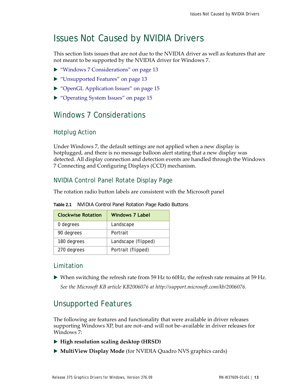# <span id="page-16-3"></span><span id="page-16-0"></span>Issues Not Caused by NVIDIA Drivers

This section lists issues that are not due to the NVIDIA driver as well as features that are not meant to be supported by the NVIDIA driver for Windows 7.

- ▶ ["Windows 7 Considerations" on page](#page-16-1) 13
- ["Unsupported Features" on page](#page-16-2) 13
- ▶ ["OpenGL Application Issues" on page](#page-18-0) 15
- ▶ ["Operating System Issues" on page](#page-18-2) 15

### <span id="page-16-1"></span>Windows 7 Considerations

#### Hotplug Action

Under Windows 7, the default settings are not applied when a new display is hotplugged, and there is no message balloon alert stating that a new display was detected. All display connection and detection events are handled through the Windows 7 Connecting and Configuring Displays (CCD) mechanism.

### NVIDIA Control Panel Rotate Display Page

The rotation radio button labels are consistent with the Microsoft panel

| <b>Clockwise Rotation</b> | <b>Windows 7 Label</b> |
|---------------------------|------------------------|
| 0 degrees                 | Landscape              |
| 90 degrees                | Portrait               |
| 180 degrees               | Landscape (flipped)    |
| 270 degrees               | Portrait (flipped)     |

**Table 2.1** NVIDIA Control Panel Rotation Page Radio Buttons

### Limitation

 When switching the refresh rate from 59 Hz to 60Hz, the refresh rate remains at 59 Hz. *[See the Microsoft KB article KB2006076 at http://support.microsoft.com/kb/2006076.](http://support.microsoft.com/kb/2006076)*

### <span id="page-16-2"></span>Unsupported Features

The following are features and functionality that were available in driver releases supporting Windows XP, but are not–and will not be–available in driver releases for Windows 7:

- **High resolution scaling desktop (HRSD)**
- **MultiView Display Mode** (for NVIDIA Quadro NVS graphics cards)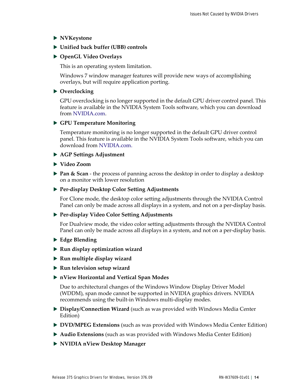**NVKeystone**

#### **Unified back buffer (UBB) controls**

#### **OpenGL Video Overlays**

This is an operating system limitation.

Windows 7 window manager features will provide new ways of accomplishing overlays, but will require application porting.

#### **Overclocking**

GPU overclocking is no longer supported in the default GPU driver control panel. This feature is available in the NVIDIA System Tools software, which you can download from [NVIDIA.com.](http://www.nvidia.com/object/nvidia_system_tools_6.06.html)

#### **GPU Temperature Monitoring**

Temperature monitoring is no longer supported in the default GPU driver control panel. This feature is available in the NVIDIA System Tools software, which you can download fro[m NVIDIA.com.](http://www.nvidia.com/object/nvidia_system_tools_6.06.html)

#### **AGP Settings Adjustment**

#### **Video Zoom**

**Pan & Scan** - the process of panning across the desktop in order to display a desktop on a monitor with lower resolution

#### **Per-display Desktop Color Setting Adjustments**

For Clone mode, the desktop color setting adjustments through the NVIDIA Control Panel can only be made across all displays in a system, and not on a per-display basis.

#### **Per-display Video Color Setting Adjustments**

For Dualview mode, the video color setting adjustments through the NVIDIA Control Panel can only be made across all displays in a system, and not on a per-display basis.

- **Edge Blending**
- **Run display optimization wizard**
- **Run multiple display wizard**
- **Run television setup wizard**
- **nView Horizontal and Vertical Span Modes**

Due to architectural changes of the Windows Window Display Driver Model (WDDM), span mode cannot be supported in NVIDIA graphics drivers. NVIDIA recommends using the built-in Windows multi-display modes.

- **Display/Connection Wizard** (such as was provided with Windows Media Center Edition)
- **DVD/MPEG Extensions** (such as was provided with Windows Media Center Edition)
- **Audio Extensions** (such as was provided with Windows Media Center Edition)
- **NVIDIA nView Desktop Manager**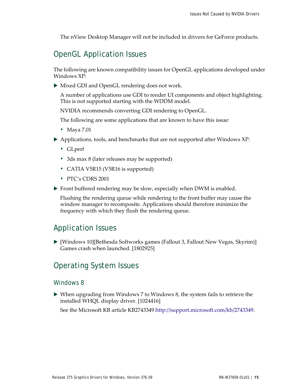The nView Desktop Manager will not be included in drivers for GeForce products.

### <span id="page-18-0"></span>OpenGL Application Issues

The following are known compatibility issues for OpenGL applications developed under Windows XP:

 $\triangleright$  Mixed GDI and OpenGL rendering does not work.

A number of applications use GDI to render UI components and object highlighting. This is not supported starting with the WDDM model.

NVIDIA recommends converting GDI rendering to OpenGL.

The following are some applications that are known to have this issue:

- Maya 7.01
- Applications, tools, and benchmarks that are not supported after Windows XP:
	- GLperf
	- 3ds max 8 (later releases may be supported)
	- CATIA V5R15 (V5R16 is supported)
	- PTC's CDRS 2001
- ▶ Front buffered rendering may be slow, especially when DWM is enabled.

Flushing the rendering queue while rendering to the front buffer may cause the window manager to recomposite. Applications should therefore minimize the frequency with which they flush the rendering queue.

### <span id="page-18-1"></span>Application Issues

 [Windows 10][Bethesda Softworks games (Fallout 3, Fallout New Vegas, Skyrim)] Games crash when launched. [1802925]

### <span id="page-18-2"></span>Operating System Issues

#### Windows 8

 When upgrading from Windows 7 to Windows 8, the system fails to retrieve the installed WHQL display driver. [1024416]

See the Microsoft KB article KB2743349<http://support.microsoft.com/kb/2743349>.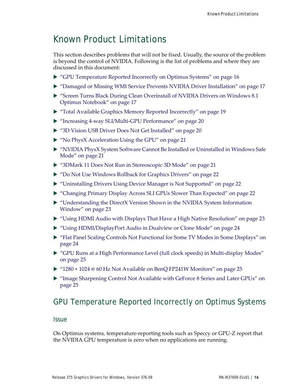# <span id="page-19-2"></span><span id="page-19-0"></span>Known Product Limitations

This section describes problems that will not be fixed. Usually, the source of the problem is beyond the control of NVIDIA. Following is the list of problems and where they are discussed in this document:

- ["GPU Temperature Reported Incorrectly on Optimus Systems" on page](#page-19-1) 16
- ▶ ["Damaged or Missing WMI Service Prevents NVIDIA Driver Installation" on page](#page-20-0) 17
- ["Screen Turns Black During Clean Overinstall of NVIDIA Drivers on Windows 8.1](#page-20-1)  [Optimus Notebook" on page](#page-20-1) 17
- ["Total Available Graphics Memory Reported Incorrectly" on page](#page-22-0) 19
- ["Increasing 4-way SLI/Multi-GPU Performance" on page](#page-23-0) 20
- ["3D Vision USB Driver Does Not Get Installed" on page](#page-23-1) 20
- ▶ ["No PhysX Acceleration Using the GPU" on page](#page-24-0) 21
- ["NVIDIA PhysX System Software Cannot Be Installed or Uninstalled in Windows Safe](#page-24-1)  [Mode" on page](#page-24-1) 21
- ["3DMark 11 Does Not Run in Stereoscopic 3D Mode" on page](#page-24-2) 21
- ▶ ["Do Not Use Windows Rollback for Graphics Drivers" on page](#page-25-0) 22
- ["Uninstalling Drivers Using Device Manager is Not Supported" on page](#page-25-1) 22
- ["Changing Primary Display Across SLI GPUs Slower Than Expected" on page](#page-25-2) 22
- ["Understanding the DirectX Version Shown in the NVIDIA System Information](#page-26-0)  [Window" on page](#page-26-0) 23
- ["Using HDMI Audio with Displays That Have a High Native Resolution" on page](#page-26-1) 23
- ▶ ["Using HDMI/DisplayPort Audio in Dualview or Clone Mode" on page](#page-27-0) 24
- ["Flat Panel Scaling Controls Not Functional for Some TV Modes in Some Displays" on](#page-27-1)  [page](#page-27-1) 24
- ["GPU Runs at a High Performance Level \(full clock speeds\) in Multi-display Modes"](#page-28-0)  [on page](#page-28-0) 25
- ▶ ["1280 × 1024 @ 60 Hz Not Available on BenQ FP241W Monitors" on page](#page-28-1) 25
- ["Image Sharpening Control Not Available with GeForce 8 Series and Later GPUs" on](#page-28-2)  [page](#page-28-2) 25

### <span id="page-19-1"></span>GPU Temperature Reported Incorrectly on Optimus Systems

#### **Issue**

On Optimus systems, temperature-reporting tools such as Speccy or GPU-Z report that the NVIDIA GPU temperature is zero when no applications are running.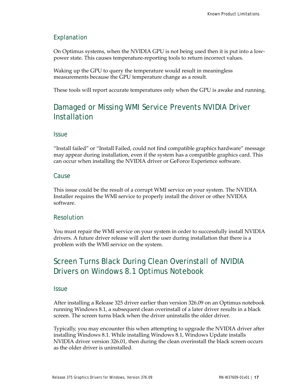### Explanation

On Optimus systems, when the NVIDIA GPU is not being used then it is put into a lowpower state. This causes temperature-reporting tools to return incorrect values.

Waking up the GPU to query the temperature would result in meaningless measurements because the GPU temperature change as a result.

These tools will report accurate temperatures only when the GPU is awake and running.

### <span id="page-20-0"></span>Damaged or Missing WMI Service Prevents NVIDIA Driver Installation

#### **Issue**

"Install failed" or "Install Failed, could not find compatible graphics hardware" message may appear during installation, even if the system has a compatible graphics card. This can occur when installing the NVIDIA driver or GeForce Experience software.

#### Cause

This issue could be the result of a corrupt WMI service on your system. The NVIDIA Installer requires the WMI service to properly install the driver or other NVIDIA software.

#### Resolution

You must repair the WMI service on your system in order to successfully install NVIDIA drivers. A future driver release will alert the user during installation that there is a problem with the WMI service on the system.

### <span id="page-20-1"></span>Screen Turns Black During Clean Overinstall of NVIDIA Drivers on Windows 8.1 Optimus Notebook

#### **Issue**

After installing a Release 325 driver earlier than version 326.09 on an Optimus notebook running Windows 8.1, a subsequent clean overinstall of a later driver results in a black screen. The screen turns black when the driver uninstalls the older driver.

Typically, you may encounter this when attempting to upgrade the NVIDIA driver after installing Windows 8.1. While installing Windows 8.1, Windows Update installs NVIDIA driver version 326.01, then during the clean overinstall the black screen occurs as the older driver is uninstalled.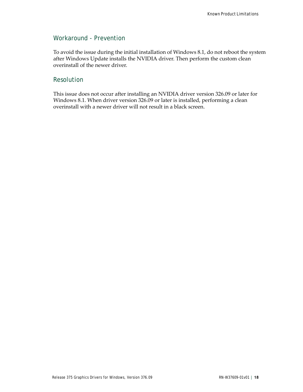#### Workaround - Prevention

To avoid the issue during the initial installation of Windows 8.1, do not reboot the system after Windows Update installs the NVIDIA driver. Then perform the custom clean overinstall of the newer driver.

#### Resolution

This issue does not occur after installing an NVIDIA driver version 326.09 or later for Windows 8.1. When driver version 326.09 or later is installed, performing a clean overinstall with a newer driver will not result in a black screen.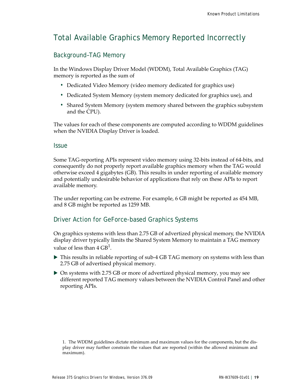### <span id="page-22-0"></span>Total Available Graphics Memory Reported Incorrectly

### Background–TAG Memory

In the Windows Display Driver Model (WDDM), Total Available Graphics (TAG) memory is reported as the sum of

- Dedicated Video Memory (video memory dedicated for graphics use)
- Dedicated System Memory (system memory dedicated for graphics use), and
- Shared System Memory (system memory shared between the graphics subsystem and the CPU).

The values for each of these components are computed according to WDDM guidelines when the NVIDIA Display Driver is loaded.

#### Issue

Some TAG-reporting APIs represent video memory using 32-bits instead of 64-bits, and consequently do not properly report available graphics memory when the TAG would otherwise exceed 4 gigabytes (GB). This results in under reporting of available memory and potentially undesirable behavior of applications that rely on these APIs to report available memory.

The under reporting can be extreme. For example, 6 GB might be reported as 454 MB, and 8 GB might be reported as 1259 MB.

#### Driver Action for GeForce-based Graphics Systems

On graphics systems with less than 2.75 GB of advertized physical memory, the NVIDIA display driver typically limits the Shared System Memory to maintain a TAG memory value of less than  $4 \text{ GB}^1$ .

- $\triangleright$  This results in reliable reporting of sub-4 GB TAG memory on systems with less than 2.75 GB of advertised physical memory.
- On systems with 2.75 GB or more of advertized physical memory, you may see different reported TAG memory values between the NVIDIA Control Panel and other reporting APIs.

<sup>1.</sup> The WDDM guidelines dictate minimum and maximum values for the components, but the display driver may further constrain the values that are reported (within the allowed minimum and maximum).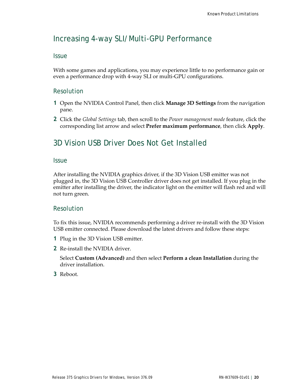### <span id="page-23-0"></span>Increasing 4-way SLI/Multi-GPU Performance

#### **Issue**

With some games and applications, you may experience little to no performance gain or even a performance drop with 4-way SLI or multi-GPU configurations.

#### Resolution

- **1** Open the NVIDIA Control Panel, then click **Manage 3D Settings** from the navigation pane.
- **2** Click the *Global Settings* tab, then scroll to the *Power management mode* feature, click the corresponding list arrow and select **Prefer maximum performance**, then click **Apply**.

### <span id="page-23-1"></span>3D Vision USB Driver Does Not Get Installed

#### **Issue**

After installing the NVIDIA graphics driver, if the 3D Vision USB emitter was not plugged in, the 3D Vision USB Controller driver does not get installed. If you plug in the emitter after installing the driver, the indicator light on the emitter will flash red and will not turn green.

#### Resolution

To fix this issue, NVIDIA recommends performing a driver re-install with the 3D Vision USB emitter connected. Please download the latest drivers and follow these steps:

- **1** Plug in the 3D Vision USB emitter.
- **2** Re-install the NVIDIA driver.

Select **Custom (Advanced)** and then select **Perform a clean Installation** during the driver installation.

**3** Reboot.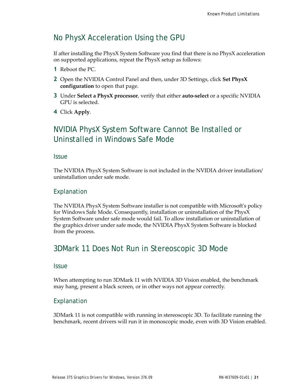### <span id="page-24-0"></span>No PhysX Acceleration Using the GPU

If after installing the PhysX System Software you find that there is no PhysX acceleration on supported applications, repeat the PhysX setup as follows:

- **1** Reboot the PC.
- **2** Open the NVIDIA Control Panel and then, under 3D Settings, click **Set PhysX configuration** to open that page.
- **3** Under **Select a PhysX processor**, verify that either **auto-select** or a specific NVIDIA GPU is selected.
- **4** Click **Apply**.

### <span id="page-24-1"></span>NVIDIA PhysX System Software Cannot Be Installed or Uninstalled in Windows Safe Mode

**Issue** 

The NVIDIA PhysX System Software is not included in the NVIDIA driver installation/ uninstallation under safe mode.

#### Explanation

The NVIDIA PhysX System Software installer is not compatible with Microsoft's policy for Windows Safe Mode. Consequently, installation or uninstallation of the PhysX System Software under safe mode would fail. To allow installation or uninstallation of the graphics driver under safe mode, the NVIDIA PhysX System Software is blocked from the process.

### <span id="page-24-2"></span>3DMark 11 Does Not Run in Stereoscopic 3D Mode

#### **Issue**

When attempting to run 3DMark 11 with NVIDIA 3D Vision enabled, the benchmark may hang, present a black screen, or in other ways not appear correctly.

#### Explanation

3DMark 11 is not compatible with running in stereoscopic 3D. To facilitate running the benchmark, recent drivers will run it in monoscopic mode, even with 3D Vision enabled.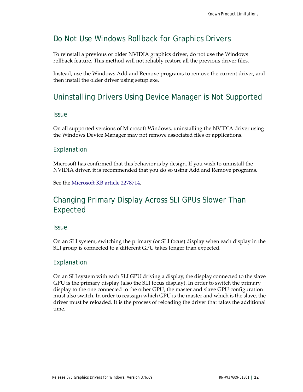### <span id="page-25-0"></span>Do Not Use Windows Rollback for Graphics Drivers

To reinstall a previous or older NVIDIA graphics driver, do not use the Windows rollback feature. This method will not reliably restore all the previous driver files.

Instead, use the Windows Add and Remove programs to remove the current driver, and then install the older driver using setup.exe.

### <span id="page-25-1"></span>Uninstalling Drivers Using Device Manager is Not Supported

#### **Issue**

On all supported versions of Microsoft Windows, uninstalling the NVIDIA driver using the Windows Device Manager may not remove associated files or applications.

#### Explanation

Microsoft has confirmed that this behavior is by design. If you wish to uninstall the NVIDIA driver, it is recommended that you do so using Add and Remove programs.

See the [Microsoft KB article 2278714.](http://support.microsoft.com/kb/2278714)

### <span id="page-25-2"></span>Changing Primary Display Across SLI GPUs Slower Than Expected

#### **Issue**

On an SLI system, switching the primary (or SLI focus) display when each display in the SLI group is connected to a different GPU takes longer than expected.

#### Explanation

On an SLI system with each SLI GPU driving a display, the display connected to the slave GPU is the primary display (also the SLI focus display). In order to switch the primary display to the one connected to the other GPU, the master and slave GPU configuration must also switch. In order to reassign which GPU is the master and which is the slave, the driver must be reloaded. It is the process of reloading the driver that takes the additional time.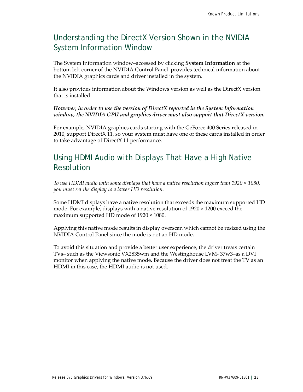### <span id="page-26-0"></span>Understanding the DirectX Version Shown in the NVIDIA System Information Window

The System Information window–accessed by clicking **System Information** at the bottom left corner of the NVIDIA Control Panel–provides technical information about the NVIDIA graphics cards and driver installed in the system.

It also provides information about the Windows version as well as the DirectX version that is installed.

*However, in order to use the version of DirectX reported in the System Information window, the NVIDIA GPU and graphics driver must also support that DirectX version.*

For example, NVIDIA graphics cards starting with the GeForce 400 Series released in 2010, support DirectX 11, so your system must have one of these cards installed in order to take advantage of DirectX 11 performance.

### <span id="page-26-1"></span>Using HDMI Audio with Displays That Have a High Native Resolution

*To use HDMI audio with some displays that have a native resolution higher than 1920 × 1080, you must set the display to a lower HD resolution.*

Some HDMI displays have a native resolution that exceeds the maximum supported HD mode. For example, displays with a native resolution of  $1920 \times 1200$  exceed the maximum supported HD mode of 1920 × 1080.

Applying this native mode results in display overscan which cannot be resized using the NVIDIA Control Panel since the mode is not an HD mode.

To avoid this situation and provide a better user experience, the driver treats certain TVs– such as the Viewsonic VX2835wm and the Westinghouse LVM- 37w3–as a DVI monitor when applying the native mode. Because the driver does not treat the TV as an HDMI in this case, the HDMI audio is not used.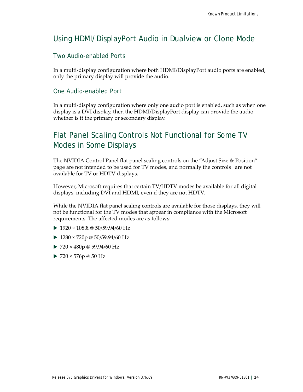### <span id="page-27-0"></span>Using HDMI/DisplayPort Audio in Dualview or Clone Mode

#### Two Audio-enabled Ports

In a multi-display configuration where both HDMI/DisplayPort audio ports are enabled, only the primary display will provide the audio.

#### One Audio-enabled Port

In a multi-display configuration where only one audio port is enabled, such as when one display is a DVI display, then the HDMI/DisplayPort display can provide the audio whether is it the primary or secondary display.

### <span id="page-27-1"></span>Flat Panel Scaling Controls Not Functional for Some TV Modes in Some Displays

The NVIDIA Control Panel flat panel scaling controls on the "Adjust Size & Position" page are not intended to be used for TV modes, and normally the controls are not available for TV or HDTV displays.

However, Microsoft requires that certain TV/HDTV modes be available for all digital displays, including DVI and HDMI, even if they are not HDTV.

While the NVIDIA flat panel scaling controls are available for those displays, they will not be functional for the TV modes that appear in compliance with the Microsoft requirements. The affected modes are as follows:

- $\blacktriangleright$  1920 × 1080i @ 50/59.94/60 Hz
- $1280 \times 720p \otimes 50/59.94/60 Hz$
- $\triangleright$  720 × 480p @ 59.94/60 Hz
- $\triangleright$  720 × 576p @ 50 Hz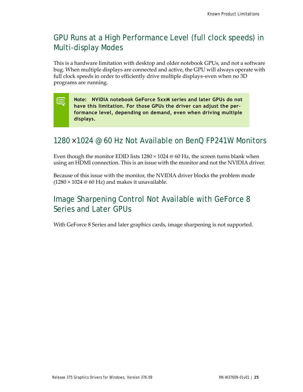### <span id="page-28-0"></span>GPU Runs at a High Performance Level (full clock speeds) in Multi-display Modes

This is a hardware limitation with desktop and older notebook GPUs, and not a software bug. When multiple displays are connected and active, the GPU will always operate with full clock speeds in order to efficiently drive multiple displays–even when no 3D programs are running.

**Note: NVIDIA notebook GeForce 5xxM series and later GPUs do not have this limitation. For those GPUs the driver can adjust the performance level, depending on demand, even when driving multiple displays.**

### <span id="page-28-1"></span>1280 × 1024 @ 60 Hz Not Available on BenQ FP241W Monitors

Even though the monitor EDID lists  $1280 \times 1024 \otimes 60$  Hz, the screen turns blank when using an HDMI connection. This is an issue with the monitor and not the NVIDIA driver.

Because of this issue with the monitor, the NVIDIA driver blocks the problem mode  $(1280 \times 1024 \oplus 60 \text{ Hz})$  and makes it unavailable.

### <span id="page-28-2"></span>Image Sharpening Control Not Available with GeForce 8 Series and Later GPUs

With GeForce 8 Series and later graphics cards, image sharpening is not supported.

▤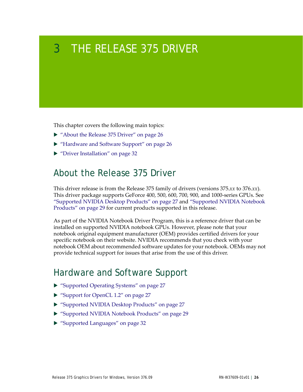# <span id="page-29-3"></span><span id="page-29-0"></span>3 THE RELEASE 375 DRIVER

This chapter covers the following main topics:

- ▶ ["About the Release 375 Driver" on page](#page-29-1) 26
- ["Hardware and Software Support" on page](#page-29-2) 26
- ▶ ["Driver Installation" on page](#page-35-1) 32

### <span id="page-29-1"></span>About the Release 375 Driver

This driver release is from the Release 375 family of drivers (versions 375.*xx* to 376.*xx*). This driver package supports GeForce 400, 500, 600, 700, 900, and 1000-series GPUs. See ["Supported NVIDIA Desktop Products" on page](#page-30-2) 27 and ["Supported NVIDIA Notebook](#page-32-0)  [Products" on page](#page-32-0) 29 for current products supported in this release.

As part of the NVIDIA Notebook Driver Program, this is a reference driver that can be installed on supported NVIDIA notebook GPUs. However, please note that your notebook original equipment manufacturer (OEM) provides certified drivers for your specific notebook on their website. NVIDIA recommends that you check with your notebook OEM about recommended software updates for your notebook. OEMs may not provide technical support for issues that arise from the use of this driver.

### <span id="page-29-2"></span>Hardware and Software Support

- ["Supported Operating Systems" on page](#page-30-0) 27
- ▶ ["Support for OpenCL 1.2" on page](#page-30-1) 27
- ["Supported NVIDIA Desktop Products" on page](#page-30-2) 27
- ["Supported NVIDIA Notebook Products" on page](#page-32-0) 29
- ["Supported Languages" on page](#page-35-0) 32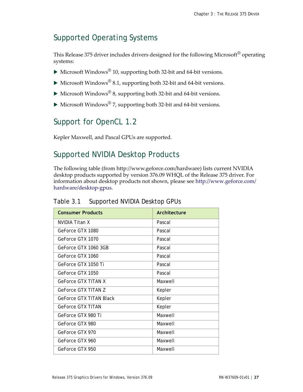### <span id="page-30-0"></span>Supported Operating Systems

This Release 375 driver includes drivers designed for the following Microsoft<sup>®</sup> operating systems:

- $\blacktriangleright$  Microsoft Windows<sup>®</sup> 10, supporting both 32-bit and 64-bit versions.
- $\triangleright$  Microsoft Windows<sup>®</sup> 8.1, supporting both 32-bit and 64-bit versions.
- $\triangleright$  Microsoft Windows<sup>®</sup> 8, supporting both 32-bit and 64-bit versions.
- $\blacktriangleright$  Microsoft Windows<sup>®</sup> 7, supporting both 32-bit and 64-bit versions.

### <span id="page-30-1"></span>Support for OpenCL 1.2

Kepler Maxwell, and Pascal GPUs are supported.

### <span id="page-30-3"></span><span id="page-30-2"></span>Supported NVIDIA Desktop Products

The following table (from http://www.geforce.com/hardware) lists current NVIDIA desktop products supported by version 376.09 WHQL of the Release 375 driver. For information about desktop products not shown, please see http://www.geforce.com/ hardware/desktop-gpus.

#### Table 3.1 Supported NVIDIA Desktop GPUs

| <b>Consumer Products</b>   | Architecture |
|----------------------------|--------------|
| NVIDIA Titan X             | Pascal       |
| GeForce GTX 1080           | Pascal       |
| GeForce GTX 1070           | Pascal       |
| GeForce GTX 1060 3GB       | Pascal       |
| GeForce GTX 1060           | Pascal       |
| GeForce GTX 1050 Ti        | Pascal       |
| GeForce GTX 1050           | Pascal       |
| <b>GeForce GTX TITAN X</b> | Maxwell      |
| GeForce GTX TITAN 7        | Kepler       |
| GeForce GTX TITAN Black    | Kepler       |
| <b>GeForce GTX TITAN</b>   | Kepler       |
| GeForce GTX 980 Ti         | Maxwell      |
| GeForce GTX 980            | Maxwell      |
| GeForce GTX 970            | Maxwell      |
| GeForce GTX 960            | Maxwell      |
| GeForce GTX 950            | Maxwell      |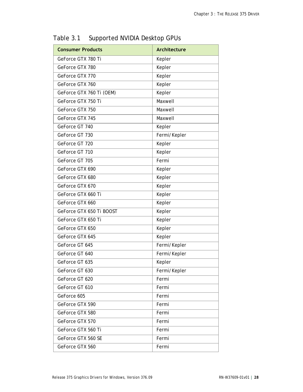| <b>Consumer Products</b> | Architecture |
|--------------------------|--------------|
| GeForce GTX 780 Ti       | Kepler       |
| GeForce GTX 780          | Kepler       |
| GeForce GTX 770          | Kepler       |
| GeForce GTX 760          | Kepler       |
| GeForce GTX 760 Ti (OEM) | Kepler       |
| GeForce GTX 750 Ti       | Maxwell      |
| GeForce GTX 750          | Maxwell      |
| GeForce GTX 745          | Maxwell      |
| GeForce GT 740           | Kepler       |
| GeForce GT 730           | Fermi/Kepler |
| GeForce GT 720           | Kepler       |
| GeForce GT 710           | Kepler       |
| GeForce GT 705           | Fermi        |
| GeForce GTX 690          | Kepler       |
| GeForce GTX 680          | Kepler       |
| GeForce GTX 670          | Kepler       |
| GeForce GTX 660 Ti       | Kepler       |
| GeForce GTX 660          | Kepler       |
| GeForce GTX 650 Ti BOOST | Kepler       |
| GeForce GTX 650 Ti       | Kepler       |
| GeForce GTX 650          | Kepler       |
| GeForce GTX 645          | Kepler       |
| GeForce GT 645           | Fermi/Kepler |
| GeForce GT 640           | Fermi/Kepler |
| GeForce GT 635           | Kepler       |
| GeForce GT 630           | Fermi/Kepler |
| GeForce GT 620           | Fermi        |
| GeForce GT 610           | Fermi        |
| GeForce 605              | Fermi        |
| GeForce GTX 590          | Fermi        |
| GeForce GTX 580          | Fermi        |
| GeForce GTX 570          | Fermi        |
| GeForce GTX 560 Ti       | Fermi        |
| GeForce GTX 560 SE       | Fermi        |
| GeForce GTX 560          | Fermi        |

Table 3.1 Supported NVIDIA Desktop GPUs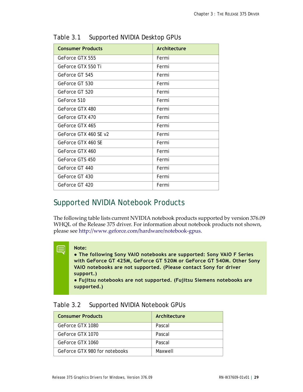| <b>Consumer Products</b> | Architecture |
|--------------------------|--------------|
| GeForce GTX 555          | Fermi        |
| GeForce GTX 550 Ti       | Fermi        |
| GeForce GT 545           | Fermi        |
| GeForce GT 530           | Fermi        |
| GeForce GT 520           | Fermi        |
| GeForce 510              | Fermi        |
| GeForce GTX 480          | Fermi        |
| GeForce GTX 470          | Fermi        |
| GeForce GTX 465          | Fermi        |
| GeForce GTX 460 SF v2    | Fermi        |
| GeForce GTX 460 SF       | Fermi        |
| GeForce GTX 460          | Fermi        |
| GeForce GTS 450          | Fermi        |
| GeForce GT 440           | Fermi        |
| GeForce GT 430           | Fermi        |
| GeForce GT 420           | Fermi        |

Table 3.1 Supported NVIDIA Desktop GPUs

### <span id="page-32-2"></span><span id="page-32-0"></span>Supported NVIDIA Notebook Products

The following table lists current NVIDIA notebook products supported by version 376.09 WHQL of the Release 375 driver. For information about notebook products not shown, please see http://www.geforce.com/hardware/notebook-gpus.

#### **Note:**

E

**● The following Sony VAIO notebooks are supported: Sony VAIO F Series with GeForce GT 425M, GeForce GT 520M or GeForce GT 540M. Other Sony VAIO notebooks are not supported. (Please contact Sony for driver support.)**

**● Fujitsu notebooks are not supported. (Fujitsu Siemens notebooks are supported.)**

<span id="page-32-1"></span>

| Supported NVIDIA Notebook GPUs<br>Table 3.2 |
|---------------------------------------------|
|---------------------------------------------|

| <b>Consumer Products</b>      | Architecture |
|-------------------------------|--------------|
| GeForce GTX 1080              | Pascal       |
| GeForce GTX 1070              | Pascal       |
| GeForce GTX 1060              | Pascal       |
| GeForce GTX 980 for notebooks | Maxwell      |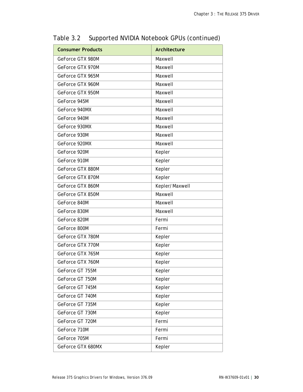| <b>Consumer Products</b> | Architecture   |
|--------------------------|----------------|
| GeForce GTX 980M         | Maxwell        |
| GeForce GTX 970M         | Maxwell        |
| GeForce GTX 965M         | Maxwell        |
| GeForce GTX 960M         | Maxwell        |
| GeForce GTX 950M         | Maxwell        |
| GeForce 945M             | Maxwell        |
| GeForce 940MX            | Maxwell        |
| GeForce 940M             | Maxwell        |
| GeForce 930MX            | Maxwell        |
| GeForce 930M             | Maxwell        |
| GeForce 920MX            | Maxwell        |
| GeForce 920M             | Kepler         |
| GeForce 910M             | Kepler         |
| GeForce GTX 880M         | Kepler         |
| GeForce GTX 870M         | Kepler         |
| GeForce GTX 860M         | Kepler/Maxwell |
| GeForce GTX 850M         | Maxwell        |
| GeForce 840M             | Maxwell        |
| GeForce 830M             | Maxwell        |
| GeForce 820M             | Fermi          |
| GeForce 800M             | Fermi          |
| GeForce GTX 780M         | Kepler         |
| GeForce GTX 770M         | Kepler         |
| GeForce GTX 765M         | Kepler         |
| GeForce GTX 760M         | Kepler         |
| GeForce GT 755M          | Kepler         |
| GeForce GT 750M          | Kepler         |
| GeForce GT 745M          | Kepler         |
| GeForce GT 740M          | Kepler         |
| GeForce GT 735M          | Kepler         |
| GeForce GT 730M          | Kepler         |
| GeForce GT 720M          | Fermi          |
| GeForce 710M             | Fermi          |
| GeForce 705M             | Fermi          |
| GeForce GTX 680MX        | Kepler         |

Table 3.2 Supported NVIDIA Notebook GPUs (continued)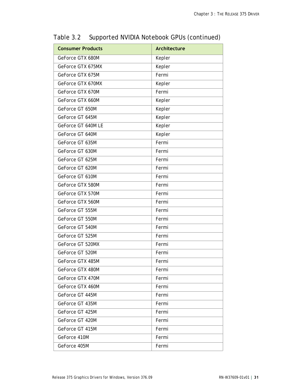| <b>Consumer Products</b> | <b>Architecture</b> |
|--------------------------|---------------------|
| GeForce GTX 680M         | Kepler              |
| GeForce GTX 675MX        | Kepler              |
| GeForce GTX 675M         | Fermi               |
| GeForce GTX 670MX        | Kepler              |
| GeForce GTX 670M         | Fermi               |
| GeForce GTX 660M         | Kepler              |
| GeForce GT 650M          | Kepler              |
| GeForce GT 645M          | Kepler              |
| GeForce GT 640M LE       | Kepler              |
| GeForce GT 640M          | Kepler              |
| GeForce GT 635M          | Fermi               |
| GeForce GT 630M          | Fermi               |
| GeForce GT 625M          | Fermi               |
| GeForce GT 620M          | Fermi               |
| GeForce GT 610M          | Fermi               |
| GeForce GTX 580M         | Fermi               |
| GeForce GTX 570M         | Fermi               |
| GeForce GTX 560M         | Fermi               |
| GeForce GT 555M          | Fermi               |
| GeForce GT 550M          | Fermi               |
| GeForce GT 540M          | Fermi               |
| GeForce GT 525M          | Fermi               |
| GeForce GT 520MX         | Fermi               |
| GeForce GT 520M          | Fermi               |
| GeForce GTX 485M         | Fermi               |
| GeForce GTX 480M         | Fermi               |
| GeForce GTX 470M         | Fermi               |
| GeForce GTX 460M         | Fermi               |
| GeForce GT 445M          | Fermi               |
| GeForce GT 435M          | Fermi               |
| GeForce GT 425M          | Fermi               |
| GeForce GT 420M          | Fermi               |
| GeForce GT 415M          | Fermi               |
| GeForce 410M             | Fermi               |
| GeForce 405M             | Fermi               |

Table 3.2 Supported NVIDIA Notebook GPUs (continued)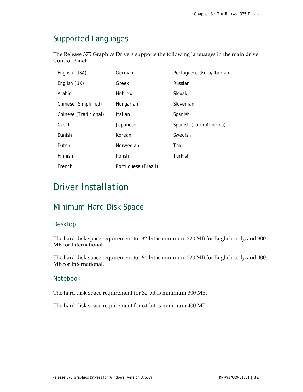### <span id="page-35-0"></span>Supported Languages

The Release 375 Graphics Drivers supports the following languages in the main driver Control Panel:

| English (USA)         | German              | Portuguese (Euro/Iberian) |
|-----------------------|---------------------|---------------------------|
| English (UK)          | Greek               | Russian                   |
| Arabic                | Hebrew              | Slovak                    |
| Chinese (Simplified)  | Hungarian           | Slovenian                 |
| Chinese (Traditional) | Italian             | Spanish                   |
| Czech                 | Japanese            | Spanish (Latin America)   |
| Danish                | Korean              | Swedish                   |
| Dutch                 | Norwegian           | Thai                      |
| Finnish               | Polish              | Turkish                   |
| French                | Portuguese (Brazil) |                           |

# <span id="page-35-1"></span>Driver Installation

### <span id="page-35-2"></span>Minimum Hard Disk Space

### Desktop

The hard disk space requirement for 32-bit is minimum 220 MB for English-only, and 300 MB for International.

The hard disk space requirement for 64-bit is minimum 320 MB for English-only, and 400 MB for International.

#### Notebook

The hard disk space requirement for 32-bit is minimum 300 MB.

The hard disk space requirement for 64-bit is minimum 400 MB.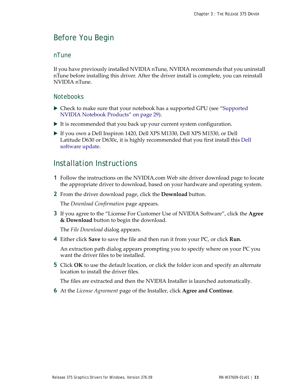### <span id="page-36-0"></span>Before You Begin

#### nTune

If you have previously installed NVIDIA nTune, NVIDIA recommends that you uninstall nTune before installing this driver. After the driver install is complete, you can reinstall NVIDIA nTune.

#### **Notebooks**

- Check to make sure that your notebook has a supported GPU (see ["Supported](#page-32-0)  [NVIDIA Notebook Products" on page](#page-32-0) 29).
- $\blacktriangleright$  It is recommended that you back up your current system configuration.
- If you own a Dell Inspiron 1420, Dell XPS M1330, Dell XPS M1530, or Dell Latitude D630 or D630c, it is highly recommended that you first install this [Dell](http://www.nvidia.com/object/recommended_software_updates.htm)  [software update.](http://www.nvidia.com/object/recommended_software_updates.htm)

### <span id="page-36-1"></span>Installation Instructions

- **1** Follow the instructions on the NVIDIA.com Web site driver download page to locate the appropriate driver to download, based on your hardware and operating system.
- **2** From the driver download page, click the **Download** button.

The *Download Confirmation* page appears.

**3** If you agree to the "License For Customer Use of NVIDIA Software", click the **Agree & Download** button to begin the download.

The *File Download* dialog appears.

**4** Either click **Save** to save the file and then run it from your PC, or click **Run.**

An extraction path dialog appears prompting you to specify where on your PC you want the driver files to be installed.

**5** Click **OK** to use the default location, or click the folder icon and specify an alternate location to install the driver files.

The files are extracted and then the NVIDIA Installer is launched automatically.

**6** At the *License Agreement* page of the Installer, click **Agree and Continue**.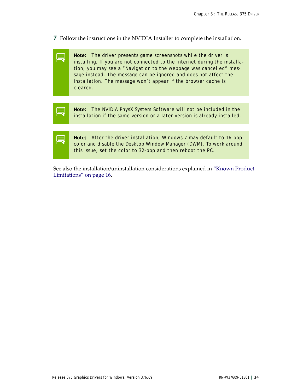- **7** Follow the instructions in the NVIDIA Installer to complete the installation.
	- **Note:** The driver presents game screenshots while the driver is installing. If you are not connected to the internet during the installation, you may see a "Navigation to the webpage was cancelled" message instead. The message can be ignored and does not affect the installation. The message won't appear if the browser cache is cleared.
- **Note:** The NVIDIA PhysX System Software will not be included in the ▤ installation if the same version or a later version is already installed.
	- **Note:** After the driver installation, Windows 7 may default to 16-bpp color and disable the Desktop Window Manager (DWM). To work around this issue, set the color to 32-bpp and then reboot the PC.

See also the installation/uninstallation considerations explained in ["Known Product](#page-19-2)  [Limitations" on page](#page-19-2) 16.

▤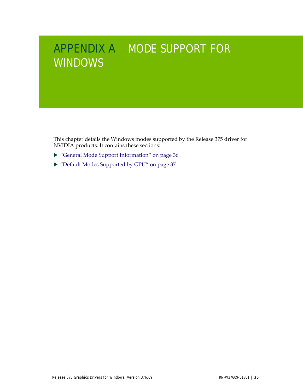# <span id="page-38-1"></span><span id="page-38-0"></span>APPENDIX A MODE SUPPORT FOR **WINDOWS**

This chapter details the Windows modes supported by the Release 375 driver for NVIDIA products. It contains these sections:

- ["General Mode Support Information" on page](#page-39-0) 36
- ["Default Modes Supported by GPU" on page](#page-40-1) 37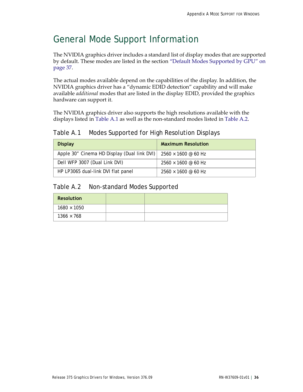# <span id="page-39-0"></span>General Mode Support Information

The NVIDIA graphics driver includes a standard list of display modes that are supported by default. These modes are listed in the section ["Default Modes Supported by GPU" on](#page-40-1)  [page](#page-40-1) 37.

The actual modes available depend on the capabilities of the display. In addition, the NVIDIA graphics driver has a "dynamic EDID detection" capability and will make available *additional* modes that are listed in the display EDID, provided the graphics hardware can support it.

The NVIDIA graphics driver also supports the high resolutions available with the displays listed in [Table A.1](#page-39-1) as well as the non-standard modes listed in [Table A.2.](#page-39-2)

### <span id="page-39-1"></span>Table A.1 Modes Supported for High Resolution Displays

| <b>Display</b>                                                                | <b>Maximum Resolution</b>                   |
|-------------------------------------------------------------------------------|---------------------------------------------|
| Apple 30" Cinema HD Display (Dual link DVI) $\mid$ 2560 $\times$ 1600 @ 60 Hz |                                             |
| Dell WFP 3007 (Dual Link DVI)                                                 | $2560 \times 1600 \text{ @ } 60 \text{ Hz}$ |
| HP LP3065 dual-link DVI flat panel                                            | $2560 \times 1600 \text{ @ } 60 \text{ Hz}$ |

#### <span id="page-39-2"></span>Table A.2 Non-standard Modes Supported

| <b>Resolution</b>  |  |
|--------------------|--|
| $1680 \times 1050$ |  |
| $1366 \times 768$  |  |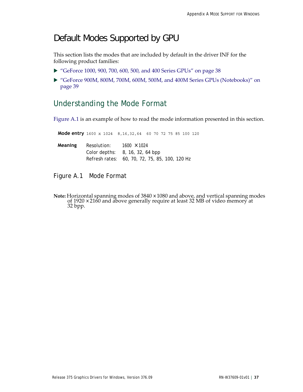### <span id="page-40-1"></span>Default Modes Supported by GPU

This section lists the modes that are included by default in the driver INF for the following product families:

- ["GeForce 1000, 900, 700, 600, 500, and 400 Series GPUs" on page](#page-41-0) 38
- ["GeForce 900M, 800M, 700M, 600M, 500M, and 400M Series GPUs \(Notebooks\)" on](#page-42-0)  [page](#page-42-0) 39

### <span id="page-40-0"></span>Understanding the Mode Format

[Figure A.1](#page-40-2) is an example of how to read the mode information presented in this section.

 **Mode entry** 1600 x 1024 8,16,32,64 60 70 72 75 85 100 120

| Meaning | Resolution: | $1600 \times 1024$                             |
|---------|-------------|------------------------------------------------|
|         |             | Color depths: 8, 16, 32, 64 bpp                |
|         |             | Refresh rates: 60, 70, 72, 75, 85, 100, 120 Hz |

<span id="page-40-2"></span>Figure A.1 Mode Format

Note: Horizontal spanning modes of 3840 × 1080 and above, and vertical spanning modes of 1920 × 2160 and above generally require at least 32 MB of video memory at 32 bpp.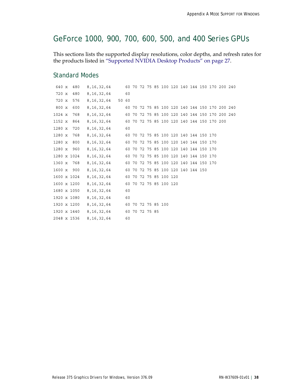### <span id="page-41-0"></span>GeForce 1000, 900, 700, 600, 500, and 400 Series GPUs

This sections lists the supported display resolutions, color depths, and refresh rates for the products listed in ["Supported NVIDIA Desktop Products" on page](#page-30-3) 27.

#### Standard Modes

| 640 x         | 480         | 8,16,32,64    60    70    72    75    85    100    120    140    144    150    170    200    240 |  |  |  |  |  |  |  |
|---------------|-------------|--------------------------------------------------------------------------------------------------|--|--|--|--|--|--|--|
| 720 x         | 480         | 8,16,32,64 60                                                                                    |  |  |  |  |  |  |  |
| 720 x         | 576         | 8,16,32,64 50 60                                                                                 |  |  |  |  |  |  |  |
| 800 x         | 600         | 8, 16, 32, 64 60 70 72 75 85 100 120 140 144 150 170 200 240                                     |  |  |  |  |  |  |  |
| 1024 x        | 768         | 8, 16, 32, 64 60 70 72 75 85 100 120 140 144 150 170 200 240                                     |  |  |  |  |  |  |  |
| 1152 x        | 864         | 8, 16, 32, 64 60 70 72 75 85 100 120 140 144 150 170 200                                         |  |  |  |  |  |  |  |
| $1280 \times$ | 720         | 8, 16, 32, 64 60                                                                                 |  |  |  |  |  |  |  |
| 1280 x        | 768         | 8, 16, 32, 64 60 70 72 75 85 100 120 140 144 150 170                                             |  |  |  |  |  |  |  |
|               | 1280 x 800  | 8,16,32,64 60 70 72 75 85 100 120 140 144 150 170                                                |  |  |  |  |  |  |  |
|               | 1280 x 960  | 8,16,32,64 60 70 72 75 85 100 120 140 144 150 170                                                |  |  |  |  |  |  |  |
|               | 1280 x 1024 | 8, 16, 32, 64 60 70 72 75 85 100 120 140 144 150 170                                             |  |  |  |  |  |  |  |
|               | 1360 x 768  | 8, 16, 32, 64 60 70 72 75 85 100 120 140 144 150 170                                             |  |  |  |  |  |  |  |
|               | 1600 x 900  | 8,16,32,64 60 70 72 75 85 100 120 140 144 150                                                    |  |  |  |  |  |  |  |
|               | 1600 x 1024 | 8,16,32,64 60 70 72 75 85 100 120                                                                |  |  |  |  |  |  |  |
|               |             | 1600 x 1200 8, 16, 32, 64 60 70 72 75 85 100 120                                                 |  |  |  |  |  |  |  |
|               | 1680 x 1050 | 8,16,32,64 60                                                                                    |  |  |  |  |  |  |  |
|               |             | 1920 x 1080 8, 16, 32, 64 60                                                                     |  |  |  |  |  |  |  |
|               | 1920 x 1200 | 8,16,32,64 60 70 72 75 85 100                                                                    |  |  |  |  |  |  |  |
|               | 1920 x 1440 | 8,16,32,64 60 70 72 75 85                                                                        |  |  |  |  |  |  |  |
| 2048 x 1536   |             | 8,16,32,64 60                                                                                    |  |  |  |  |  |  |  |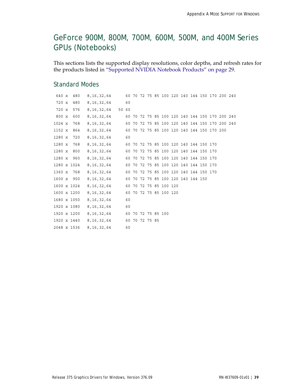### <span id="page-42-0"></span>GeForce 900M, 800M, 700M, 600M, 500M, and 400M Series GPUs (Notebooks)

This sections lists the supported display resolutions, color depths, and refresh rates for the products listed in ["Supported NVIDIA Notebook Products" on page](#page-32-2) 29.

#### Standard Modes

| 640 x         | 480         | 8, 16, 32, 64 60 70 72 75 85 100 120 140 144 150 170 200 240 |    |    |  |  |  |  |  |  |
|---------------|-------------|--------------------------------------------------------------|----|----|--|--|--|--|--|--|
| 720 x         | 480         | 8,16,32,64                                                   | 60 |    |  |  |  |  |  |  |
| 720 x         | 576         | 8,16,32,64 50 60                                             |    |    |  |  |  |  |  |  |
| 800 x         | 600         | 8,16,32,64 60 70 72 75 85 100 120 140 144 150 170 200 240    |    |    |  |  |  |  |  |  |
| 1024 x        | 768         | 8, 16, 32, 64 60 70 72 75 85 100 120 140 144 150 170 200 240 |    |    |  |  |  |  |  |  |
| 1152 x        | 864         | 8, 16, 32, 64 60 70 72 75 85 100 120 140 144 150 170 200     |    |    |  |  |  |  |  |  |
| $1280 \times$ | 720         | 8, 16, 32, 64 60                                             |    |    |  |  |  |  |  |  |
| 1280 x        | 768         | 8,16,32,64 60 70 72 75 85 100 120 140 144 150 170            |    |    |  |  |  |  |  |  |
| 1280 x        | 800         | 8,16,32,64 60 70 72 75 85 100 120 140 144 150 170            |    |    |  |  |  |  |  |  |
|               | 1280 x 960  | 8,16,32,64 60 70 72 75 85 100 120 140 144 150 170            |    |    |  |  |  |  |  |  |
|               | 1280 x 1024 | 8, 16, 32, 64 60 70 72 75 85 100 120 140 144 150 170         |    |    |  |  |  |  |  |  |
| 1360 x        | 768         | 8,16,32,64 60 70 72 75 85 100 120 140 144 150 170            |    |    |  |  |  |  |  |  |
| 1600 x 900    |             | 8,16,32,64 60 70 72 75 85 100 120 140 144 150                |    |    |  |  |  |  |  |  |
|               | 1600 x 1024 | 8, 16, 32, 64 60 70 72 75 85 100 120                         |    |    |  |  |  |  |  |  |
|               | 1600 x 1200 | 8, 16, 32, 64 60 70 72 75 85 100 120                         |    |    |  |  |  |  |  |  |
| 1680 x 1050   |             | 8, 16, 32, 64                                                |    | 60 |  |  |  |  |  |  |
| 1920 x 1080   |             | 8,16,32,64 60                                                |    |    |  |  |  |  |  |  |
| 1920 x 1200   |             | 8,16,32,64 60 70 72 75 85 100                                |    |    |  |  |  |  |  |  |
| 1920 x 1440   |             | 8,16,32,64 60 70 72 75 85                                    |    |    |  |  |  |  |  |  |
| 2048 x 1536   |             | 8,16,32,64 60                                                |    |    |  |  |  |  |  |  |
|               |             |                                                              |    |    |  |  |  |  |  |  |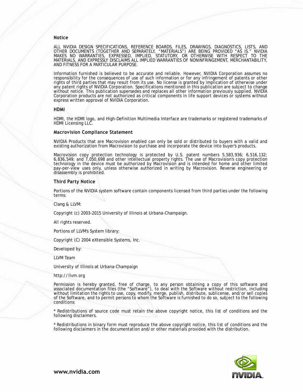#### **Notice**

ALL NVIDIA DESIGN SPECIFICATIONS, REFERENCE BOARDS, FILES, DRAWINGS, DIAGNOSTICS, LISTS, AND OTHER DOCUMENTS (TOGETHER AND SEPARATELY, "MATERIALS") ARE BEING PROVIDED "AS IS." NVIDIA MAKES NO WARRANTIES, EXPRESSED, IMPLIED, STATUTORY, OR OTHERWISE WITH RESPECT TO THE MATERIALS, AND EXPRESSLY DISCLAIMS ALL IMPLIED WARRANTIES OF NONINFRINGEMENT, MERCHANTABILITY, AND FITNESS FOR A PARTICULAR PURPOSE.

Information furnished is believed to be accurate and reliable. However, NVIDIA Corporation assumes no responsibility for the consequences of use of such information or for any infringement of patents or other rights of third parties that may result from its use. No license is granted by implication of otherwise under any patent rights of NVIDIA Corporation. Specifications mentioned in this publication are subject to change without notice. This publication supersedes and replaces all other information previously supplied. NVIDIA Corporation products are not authorized as critical components in life support devices or systems without express written approval of NVIDIA Corporation.

#### **HDMI**

HDMI, the HDMI logo, and High-Definition Multimedia Interface are trademarks or registered trademarks of HDMI Licensing LLC.

#### **Macrovision Compliance Statement**

NVIDIA Products that are Macrovision enabled can only be sold or distributed to buyers with a valid and existing authorization from Macrovision to purchase and incorporate the device into buyer's products.

Macrovision copy protection technology is protected by U.S. patent numbers 5,583,936; 6,516,132; 6,836,549; and 7,050,698 and other intellectual property rights. The use of Macrovision's copy protection technology in the device must be authorized by Macrovision and is intended for home and other limited pay-per-view uses only, unless otherwise authorized in writing by Macrovision. Reverse engineering or disassembly is prohibited.

#### **Third Party Notice**

Portions of the NVIDIA system software contain components licensed from third parties under the following terms:

Clang & LLVM:

Copyright (c) 2003-2015 University of Illinois at Urbana-Champaign.

All rights reserved.

Portions of LLVM's System library:

Copyright (C) 2004 eXtensible Systems, Inc.

Developed by:

LLVM Team

University of Illinois at Urbana-Champaign

http://llvm.org

Permission is hereby granted, free of charge, to any person obtaining a copy of this software and associated documentation files (the "Software"), to deal with the Software without restriction, including without limitation the rights to use, copy, modify, merge, publish, distribute, sublicense, and/or sell copies of the Software, and to permit persons to whom the Software is furnished to do so, subject to the following conditions:

\* Redistributions of source code must retain the above copyright notice, this list of conditions and the following disclaimers.

\* Redistributions in binary form must reproduce the above copyright notice, this list of conditions and the following disclaimers in the documentation and/or other materials provided with the distribution.